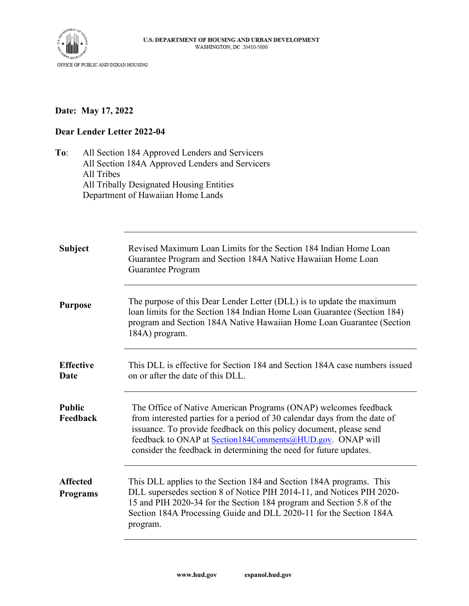

## **Date: May 17, 2022**

## **Dear Lender Letter 2022-04**

**To**: All Section 184 Approved Lenders and Servicers All Section 184A Approved Lenders and Servicers All Tribes All Tribally Designated Housing Entities Department of Hawaiian Home Lands

| <b>Subject</b>                     | Revised Maximum Loan Limits for the Section 184 Indian Home Loan<br>Guarantee Program and Section 184A Native Hawaiian Home Loan<br>Guarantee Program                                                                                                                                                                                                |
|------------------------------------|------------------------------------------------------------------------------------------------------------------------------------------------------------------------------------------------------------------------------------------------------------------------------------------------------------------------------------------------------|
| <b>Purpose</b>                     | The purpose of this Dear Lender Letter (DLL) is to update the maximum<br>loan limits for the Section 184 Indian Home Loan Guarantee (Section 184)<br>program and Section 184A Native Hawaiian Home Loan Guarantee (Section<br>184A) program.                                                                                                         |
| <b>Effective</b><br>Date           | This DLL is effective for Section 184 and Section 184A case numbers issued<br>on or after the date of this DLL.                                                                                                                                                                                                                                      |
| <b>Public</b><br>Feedback          | The Office of Native American Programs (ONAP) welcomes feedback<br>from interested parties for a period of 30 calendar days from the date of<br>issuance. To provide feedback on this policy document, please send<br>feedback to ONAP at Section184Comments@HUD.gov. ONAP will<br>consider the feedback in determining the need for future updates. |
| <b>Affected</b><br><b>Programs</b> | This DLL applies to the Section 184 and Section 184A programs. This<br>DLL supersedes section 8 of Notice PIH 2014-11, and Notices PIH 2020-<br>15 and PIH 2020-34 for the Section 184 program and Section 5.8 of the<br>Section 184A Processing Guide and DLL 2020-11 for the Section 184A<br>program.                                              |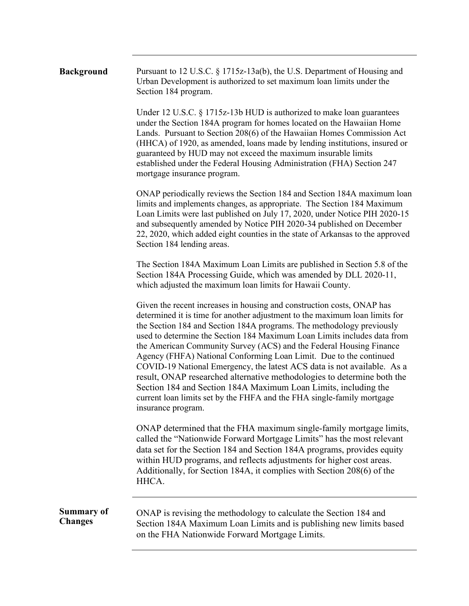## **Background** Pursuant to 12 U.S.C. § 1715z-13a(b), the U.S. Department of Housing and Urban Development is authorized to set maximum loan limits under the Section 184 program.

Under 12 U.S.C. § 1715z-13b HUD is authorized to make loan guarantees under the Section 184A program for homes located on the Hawaiian Home Lands. Pursuant to Section 208(6) of the Hawaiian Homes Commission Act (HHCA) of 1920, as amended, loans made by lending institutions, insured or guaranteed by HUD may not exceed the maximum insurable limits established under the Federal Housing Administration (FHA) Section 247 mortgage insurance program.

ONAP periodically reviews the Section 184 and Section 184A maximum loan limits and implements changes, as appropriate. The Section 184 Maximum Loan Limits were last published on July 17, 2020, under Notice PIH 2020-15 and subsequently amended by Notice PIH 2020-34 published on December 22, 2020, which added eight counties in the state of Arkansas to the approved Section 184 lending areas.

The Section 184A Maximum Loan Limits are published in Section 5.8 of the Section 184A Processing Guide, which was amended by DLL 2020-11, which adjusted the maximum loan limits for Hawaii County.

Given the recent increases in housing and construction costs, ONAP has determined it is time for another adjustment to the maximum loan limits for the Section 184 and Section 184A programs. The methodology previously used to determine the Section 184 Maximum Loan Limits includes data from the American Community Survey (ACS) and the Federal Housing Finance Agency (FHFA) National Conforming Loan Limit. Due to the continued COVID-19 National Emergency, the latest ACS data is not available. As a result, ONAP researched alternative methodologies to determine both the Section 184 and Section 184A Maximum Loan Limits, including the current loan limits set by the FHFA and the FHA single-family mortgage insurance program.

ONAP determined that the FHA maximum single-family mortgage limits, called the "Nationwide Forward Mortgage Limits" has the most relevant data set for the Section 184 and Section 184A programs, provides equity within HUD programs, and reflects adjustments for higher cost areas. Additionally, for Section 184A, it complies with Section 208(6) of the HHCA.

**Summary of Changes** 

ONAP is revising the methodology to calculate the Section 184 and Section 184A Maximum Loan Limits and is publishing new limits based on the FHA Nationwide Forward Mortgage Limits.